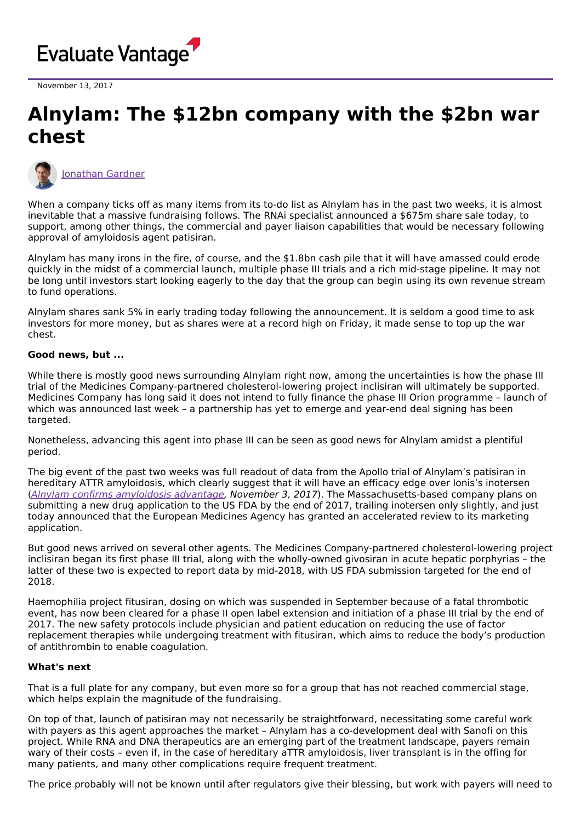

November 13, 2017

## **Alnylam: The \$12bn company with the \$2bn war chest**



[Jonathan](https://www.evaluate.com/vantage/editorial-team/jonathan-gardner) Gardner

When a company ticks off as many items from its to-do list as Alnylam has in the past two weeks, it is almost inevitable that a massive fundraising follows. The RNAi specialist announced a \$675m share sale today, to support, among other things, the commercial and payer liaison capabilities that would be necessary following approval of amyloidosis agent patisiran.

Alnylam has many irons in the fire, of course, and the \$1.8bn cash pile that it will have amassed could erode quickly in the midst of a commercial launch, multiple phase III trials and a rich mid-stage pipeline. It may not be long until investors start looking eagerly to the day that the group can begin using its own revenue stream to fund operations.

Alnylam shares sank 5% in early trading today following the announcement. It is seldom a good time to ask investors for more money, but as shares were at a record high on Friday, it made sense to top up the war chest.

## **Good news, but ...**

While there is mostly good news surrounding Alnylam right now, among the uncertainties is how the phase III trial of the Medicines Company-partnered cholesterol-lowering project inclisiran will ultimately be supported. Medicines Company has long said it does not intend to fully finance the phase III Orion programme – launch of which was announced last week – a partnership has yet to emerge and year-end deal signing has been targeted.

Nonetheless, advancing this agent into phase III can be seen as good news for Alnylam amidst a plentiful period.

The big event of the past two weeks was full readout of data from the Apollo trial of Alnylam's patisiran in hereditary ATTR amyloidosis, which clearly suggest that it will have an efficacy edge over Ionis's inotersen (Alnylam confirms [amyloidosis](http://epvantage.com/Universal/View.aspx?type=Story&id=744081&isEPVantage=yes) advantage, November 3, 2017). The Massachusetts-based company plans on submitting a new drug application to the US FDA by the end of 2017, trailing inotersen only slightly, and just today announced that the European Medicines Agency has granted an accelerated review to its marketing application.

But good news arrived on several other agents. The Medicines Company-partnered cholesterol-lowering project inclisiran began its first phase III trial, along with the wholly-owned givosiran in acute hepatic porphyrias – the latter of these two is expected to report data by mid-2018, with US FDA submission targeted for the end of 2018.

Haemophilia project fitusiran, dosing on which was suspended in September because of a fatal thrombotic event, has now been cleared for a phase II open label extension and initiation of a phase III trial by the end of 2017. The new safety protocols include physician and patient education on reducing the use of factor replacement therapies while undergoing treatment with fitusiran, which aims to reduce the body's production of antithrombin to enable coagulation.

## **What's next**

That is a full plate for any company, but even more so for a group that has not reached commercial stage, which helps explain the magnitude of the fundraising.

On top of that, launch of patisiran may not necessarily be straightforward, necessitating some careful work with payers as this agent approaches the market – Alnylam has a co-development deal with Sanofi on this project. While RNA and DNA therapeutics are an emerging part of the treatment landscape, payers remain wary of their costs – even if, in the case of hereditary aTTR amyloidosis, liver transplant is in the offing for many patients, and many other complications require frequent treatment.

The price probably will not be known until after regulators give their blessing, but work with payers will need to